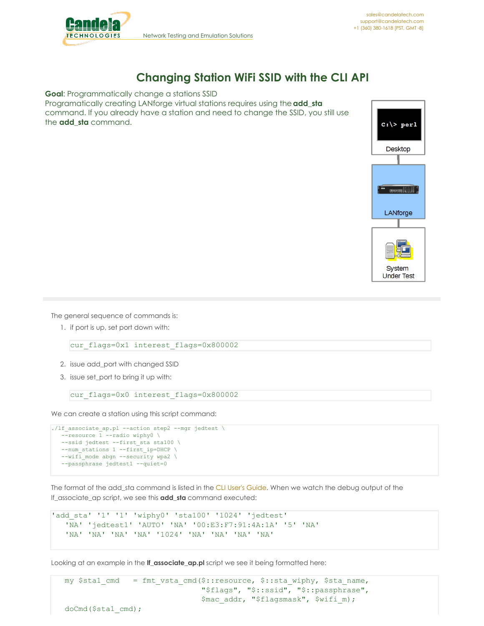

## **Changing Station WiFi SSID with the CLI API**

**Goal**: Programmatically change a stations SSID Programatically creating LANforge virtual stations requires using the**add\_sta** command. If you already have a station and need to change the SSID, you still use the **add\_sta** command.



The general sequence of commands is:

1. if port is up, set port down with:

cur flags=0x1 interest flags=0x800002

- 2. issue add\_port with changed SSID
- 3. issue set\_port to bring it up with:

```
cur flags=0x0 interest flags=0x800002
```
We can create a station using this script command:

```
./lf_associate_ap.pl --action step2 --mgr jedtest \
 --resource \overline{1} --radio wiphy0 \
 --ssid jedtest --first sta sta100 \
--num stations 1 --first ip=DHCP \setminus--wifi_mode abgn --security wpa2 \
 --passphrase jedtest1 --quiet=0
```
The format of the add\_sta command is listed in the CLI User's [Guide](http://www.candelatech.com/lfcli_ug.php#add_sta). When we watch the debug output of the lf\_associate\_ap script, we see this **add\_sta** command executed:

```
'add_sta' '1' '1' 'wiphy0' 'sta100' '1024' 'jedtest'
'NA' 'jedtest1' 'AUTO' 'NA' '00:E3:F7:91:4A:1A' '5' 'NA'
'NA' 'NA' 'NA' 'NA' '1024' 'NA' 'NA' 'NA' 'NA'
```
Looking at an example in the **lf\_associate\_ap.pl** script we see it being formatted here: